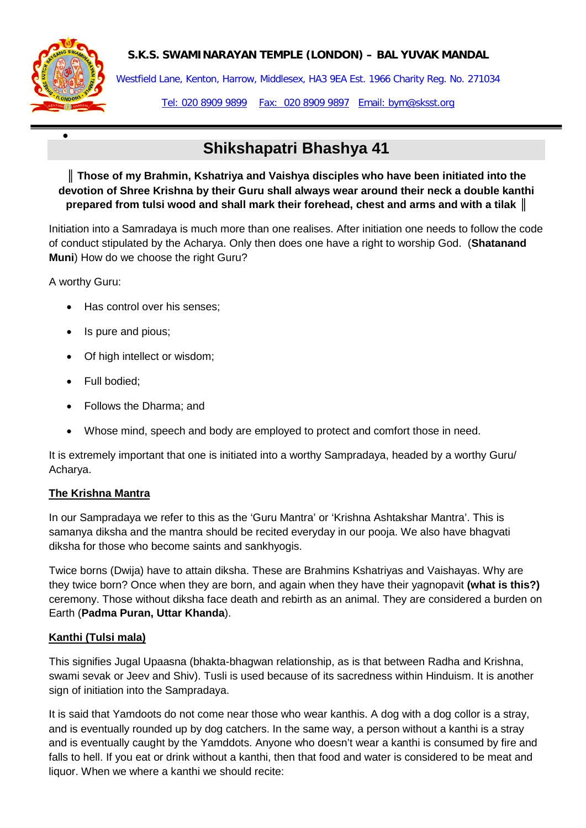# **S.K.S. SWAMINARAYAN TEMPLE (LONDON) – BAL YUVAK MANDAL**



•

Westfield Lane, Kenton, Harrow, Middlesex, HA3 9EA Est. 1966 Charity Reg. No. 271034 Tel: 020 8909 9899 Fax: 020 8909 9897 Email: bym@sksst.org

# **Shikshapatri Bhashya 41**

**║ Those of my Brahmin, Kshatriya and Vaishya disciples who have been initiated into the devotion of Shree Krishna by their Guru shall always wear around their neck a double kanthi prepared from tulsi wood and shall mark their forehead, chest and arms and with a tilak ║**

Initiation into a Samradaya is much more than one realises. After initiation one needs to follow the code of conduct stipulated by the Acharya. Only then does one have a right to worship God. (**Shatanand Muni**) How do we choose the right Guru?

A worthy Guru:

- Has control over his senses;
- Is pure and pious;
- Of high intellect or wisdom;
- Full bodied;
- Follows the Dharma; and
- Whose mind, speech and body are employed to protect and comfort those in need.

It is extremely important that one is initiated into a worthy Sampradaya, headed by a worthy Guru/ Acharya.

# **The Krishna Mantra**

In our Sampradaya we refer to this as the 'Guru Mantra' or 'Krishna Ashtakshar Mantra'. This is samanya diksha and the mantra should be recited everyday in our pooja. We also have bhagvati diksha for those who become saints and sankhyogis.

Twice borns (Dwija) have to attain diksha. These are Brahmins Kshatriyas and Vaishayas. Why are they twice born? Once when they are born, and again when they have their yagnopavit **(what is this?)** ceremony. Those without diksha face death and rebirth as an animal. They are considered a burden on Earth (**Padma Puran, Uttar Khanda**).

# **Kanthi (Tulsi mala)**

This signifies Jugal Upaasna (bhakta-bhagwan relationship, as is that between Radha and Krishna, swami sevak or Jeev and Shiv). Tusli is used because of its sacredness within Hinduism. It is another sign of initiation into the Sampradaya.

It is said that Yamdoots do not come near those who wear kanthis. A dog with a dog collor is a stray, and is eventually rounded up by dog catchers. In the same way, a person without a kanthi is a stray and is eventually caught by the Yamddots. Anyone who doesn't wear a kanthi is consumed by fire and falls to hell. If you eat or drink without a kanthi, then that food and water is considered to be meat and liquor. When we where a kanthi we should recite: